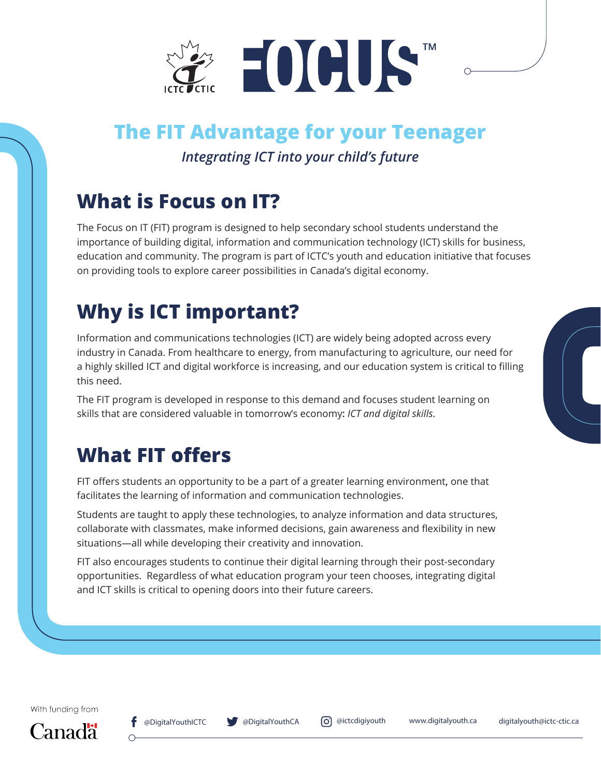

## **The FIT Advantage for your Teenager**

*Integrating ICT into your child's future*

### **What is Focus on IT?**

The Focus on IT (FIT) program is designed to help secondary school students understand the importance of building digital, information and communication technology (ICT) skills for business, education and community. The program is part of ICTC's youth and education initiative that focuses on providing tools to explore career possibilities in Canada's digital economy.

# **Why is ICT important?**

Information and communications technologies (ICT) are widely being adopted across every industry in Canada. From healthcare to energy, from manufacturing to agriculture, our need for a highly skilled ICT and digital workforce is increasing, and our education system is critical to filling this need.

The FIT program is developed in response to this demand and focuses student learning on skills that are considered valuable in tomorrow's economy**:** *ICT and digital skills*.

## **What FIT offers**

FIT offers students an opportunity to be a part of a greater learning environment**,** one that facilitates the learning of information and communication technologies.

Students are taught to apply these technologies, to analyze information and data structures, collaborate with classmates, make informed decisions, gain awareness and flexibility in new situations—all while developing their creativity and innovation.

FIT also encourages students to continue their digital learning through their post-secondary opportunities. Regardless of what education program your teen chooses, integrating digital and ICT skills is critical to opening doors into their future careers.